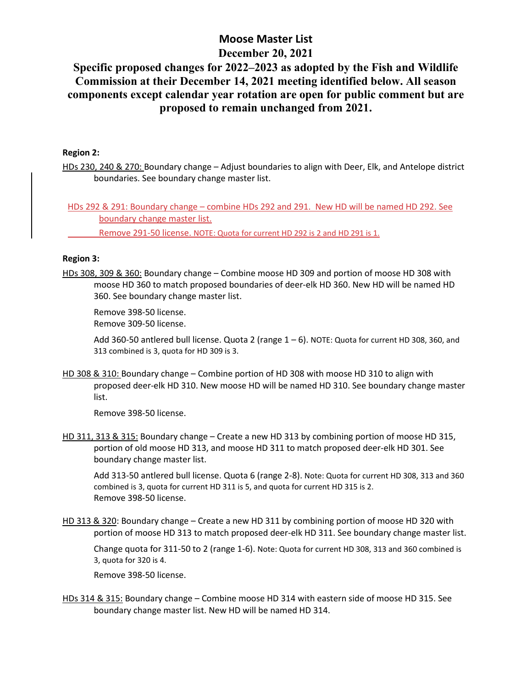## **Moose Master List December 20, 2021**

# **Specific proposed changes for 2022–2023 as adopted by the Fish and Wildlife Commission at their December 14, 2021 meeting identified below. All season components except calendar year rotation are open for public comment but are proposed to remain unchanged from 2021.**

### **Region 2:**

HDs 230, 240 & 270: Boundary change – Adjust boundaries to align with Deer, Elk, and Antelope district boundaries. See boundary change master list.

HDs 292 & 291: Boundary change – combine HDs 292 and 291. New HD will be named HD 292. See boundary change master list.

Remove 291-50 license. NOTE: Quota for current HD 292 is 2 and HD 291 is 1.

#### **Region 3:**

HDs 308, 309 & 360: Boundary change – Combine moose HD 309 and portion of moose HD 308 with moose HD 360 to match proposed boundaries of deer-elk HD 360. New HD will be named HD 360. See boundary change master list.

Remove 398-50 license.

Remove 309-50 license.

Add 360-50 antlered bull license. Quota 2 (range  $1 - 6$ ). NOTE: Quota for current HD 308, 360, and 313 combined is 3, quota for HD 309 is 3.

HD 308 & 310: Boundary change – Combine portion of HD 308 with moose HD 310 to align with proposed deer-elk HD 310. New moose HD will be named HD 310. See boundary change master list.

Remove 398-50 license.

HD 311, 313 & 315: Boundary change – Create a new HD 313 by combining portion of moose HD 315, portion of old moose HD 313, and moose HD 311 to match proposed deer-elk HD 301. See boundary change master list.

Add 313-50 antlered bull license. Quota 6 (range 2-8). Note: Quota for current HD 308, 313 and 360 combined is 3, quota for current HD 311 is 5, and quota for current HD 315 is 2. Remove 398-50 license.

HD 313 & 320: Boundary change – Create a new HD 311 by combining portion of moose HD 320 with portion of moose HD 313 to match proposed deer-elk HD 311. See boundary change master list.

Change quota for 311-50 to 2 (range 1-6). Note: Quota for current HD 308, 313 and 360 combined is 3, quota for 320 is 4.

Remove 398-50 license.

HDs 314 & 315: Boundary change – Combine moose HD 314 with eastern side of moose HD 315. See boundary change master list. New HD will be named HD 314.